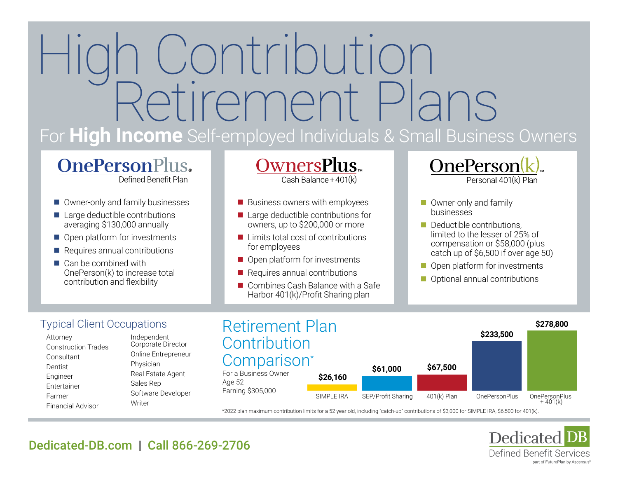# a Contribution<br>Retirement Plans For **High Income** Self-employed Individuals & Small Business Owners

# **OnePersonPlus.**

Defined Benefit Plan

- [Owner-only and family businesses](https://www.dedicated-db.com/one-person-plus/)
- $\blacksquare$  Large deductible contributions averaging \$130,000 annually
- $\Box$  Open platform for investments
- $\blacksquare$  Requires annual contributions
- $\blacksquare$  Can be combined with OnePerson(k) to increase total contribution and flexibility

Owners**Plus**™ Cash Balance + 401(k)

- $\blacksquare$  Business owners with employees
- $\blacksquare$  Large deductible contributions for owners, up to \$200,000 or more
- $\blacksquare$  Limits total cost of contributions for employees
- $\blacksquare$  Open platform for investments
- $\blacksquare$  Requires annual contributions
- $\blacksquare$  Combines Cash Balance with a Safe Harbor 401(k)/Profit Sharing plan
- OnePerson Personal 401(k) Plan
- $\blacksquare$  Owner-only and family businesses
- $\blacksquare$  Deductible contributions, limited to the lesser of 25% of compensation or \$58,000 (plus [catch up of \\$6,500 if over age 50\)](https://www.dedicated-db.com/oneperson-k/)
- $\blacksquare$  Open platform for investments
- **n** Optional annual contributions

### Typical Client Occupations

Attorney Construction Trades **Consultant** Dentist Engineer Entertainer Farmer Financial Advisor

Independent Corporate Director Online Entrepreneur Physician Real Estate Agent Sales Rep Software Developer **Writer** 



\*2022 plan maximum contribution limits for a 52 year old, including "catch-up" contributions of \$3,000 for SIMPLE IRA, \$6,500 for 401(k).



## [Dedicated-DB.com](https://www.dedicated-db.com/) | Call [866-269-2706](tel:8662692706)